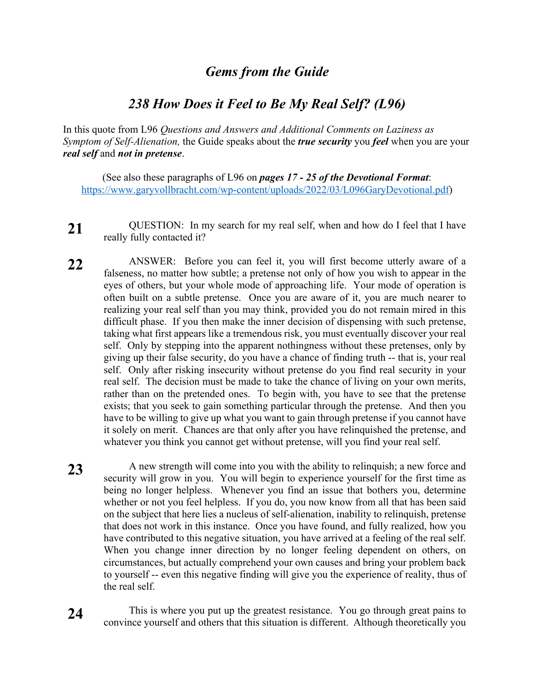## *Gems from the Guide*

## *238 How Does it Feel to Be My Real Self? (L96)*

In this quote from L96 *Questions and Answers and Additional Comments on Laziness as Symptom of Self-Alienation,* the Guide speaks about the *true security* you *feel* when you are your *real self* and *not in pretense*.

(See also these paragraphs of L96 on *pages 17 - 25 of the Devotional Format*: https://www.garyvollbracht.com/wp-content/uploads/2022/03/L096GaryDevotional.pdf)

- **21** QUESTION: In my search for my real self, when and how do I feel that I have really fully contacted it?
- **22** ANSWER: Before you can feel it, you will first become utterly aware of a falseness, no matter how subtle; a pretense not only of how you wish to appear in the eyes of others, but your whole mode of approaching life. Your mode of operation is often built on a subtle pretense. Once you are aware of it, you are much nearer to realizing your real self than you may think, provided you do not remain mired in this difficult phase. If you then make the inner decision of dispensing with such pretense, taking what first appears like a tremendous risk, you must eventually discover your real self. Only by stepping into the apparent nothingness without these pretenses, only by giving up their false security, do you have a chance of finding truth -- that is, your real self. Only after risking insecurity without pretense do you find real security in your real self. The decision must be made to take the chance of living on your own merits, rather than on the pretended ones. To begin with, you have to see that the pretense exists; that you seek to gain something particular through the pretense. And then you have to be willing to give up what you want to gain through pretense if you cannot have it solely on merit. Chances are that only after you have relinquished the pretense, and whatever you think you cannot get without pretense, will you find your real self.
- 23 A new strength will come into you with the ability to relinquish; a new force and security will grow in you. You will begin to experience yourself for the first time as being no longer helpless. Whenever you find an issue that bothers you, determine whether or not you feel helpless. If you do, you now know from all that has been said on the subject that here lies a nucleus of self-alienation, inability to relinquish, pretense that does not work in this instance. Once you have found, and fully realized, how you have contributed to this negative situation, you have arrived at a feeling of the real self. When you change inner direction by no longer feeling dependent on others, on circumstances, but actually comprehend your own causes and bring your problem back to yourself -- even this negative finding will give you the experience of reality, thus of the real self.
- 24 This is where you put up the greatest resistance. You go through great pains to convince yourself and others that this situation is different. Although theoretically you